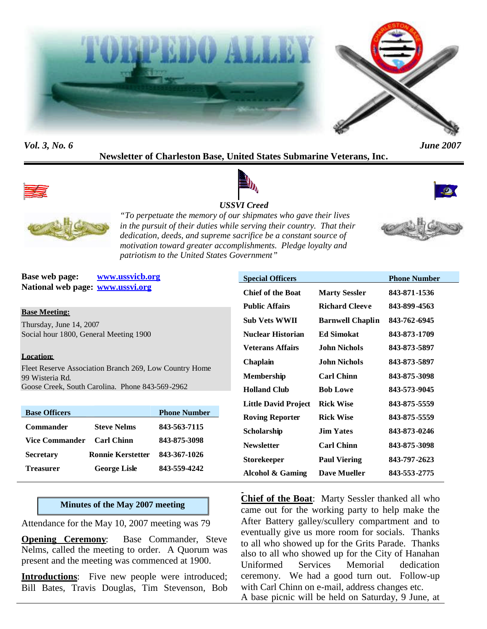



*Vol. 3, No. 6 June 2007*

## **Newsletter of Charleston Base, United States Submarine Veterans, Inc.**



# *USSVI Creed*





*"To perpetuate the memory of our shipmates who gave their lives in the pursuit of their duties while serving their country. That their dedication, deeds, and supreme sacrifice be a constant source of motivation toward greater accomplishments. Pledge loyalty and patriotism to the United States Government"*

**Base web page: www.ussvicb.org National web page: www.ussvi.org**

**Base Meeting:**

Thursday, June 14, 2007 Social hour 1800, General Meeting 1900

#### **Location:**

Fleet Reserve Association Branch 269, Low Country Home 99 Wisteria Rd. Goose Creek, South Carolina. Phone 843-569-2962

| <b>Base Officers</b> |                          | <b>Phone Number</b> |
|----------------------|--------------------------|---------------------|
| <b>Commander</b>     | <b>Steve Nelms</b>       | 843-563-7115        |
| Vice Commander       | <b>Carl Chinn</b>        | 843-875-3098        |
| <b>Secretary</b>     | <b>Ronnie Kerstetter</b> | 843-367-1026        |
| <b>Treasurer</b>     | <b>George Lisle</b>      | 843-559-4242        |

#### **Minutes of the May 2007 meeting**

Attendance for the May 10, 2007 meeting was 79

**Opening Ceremony:** Base Commander, Steve Nelms, called the meeting to order. A Quorum was present and the meeting was commenced at 1900.

**Introductions**: Five new people were introduced; Bill Bates, Travis Douglas, Tim Stevenson, Bob

| <b>Special Officers</b>     |                         | <b>Phone Number</b> |
|-----------------------------|-------------------------|---------------------|
| <b>Chief of the Boat</b>    | <b>Marty Sessler</b>    | 843-871-1536        |
| <b>Public Affairs</b>       | <b>Richard Cleeve</b>   | 843-899-4563        |
| Sub Vets WWII               | <b>Barnwell Chaplin</b> | 843-762-6945        |
| <b>Nuclear Historian</b>    | <b>Ed Simokat</b>       | 843-873-1709        |
| <b>Veterans Affairs</b>     | <b>John Nichols</b>     | 843-873-5897        |
| Chaplain                    | <b>John Nichols</b>     | 843-873-5897        |
| <b>Membership</b>           | <b>Carl Chinn</b>       | 843-875-3098        |
| <b>Holland Club</b>         | <b>Bob Lowe</b>         | 843-573-9045        |
| <b>Little David Project</b> | <b>Rick Wise</b>        | 843-875-5559        |
| <b>Roving Reporter</b>      | <b>Rick Wise</b>        | 843-875-5559        |
| Scholarship                 | <b>Jim Yates</b>        | 843-873-0246        |
| <b>Newsletter</b>           | <b>Carl Chinn</b>       | 843-875-3098        |
| <b>Storekeeper</b>          | <b>Paul Viering</b>     | 843-797-2623        |
| Alcohol & Gaming            | <b>Dave Mueller</b>     | 843-553-2775        |

**Chief of the Boat**: Marty Sessler thanked all who came out for the working party to help make the After Battery galley/scullery compartment and to eventually give us more room for socials. Thanks to all who showed up for the Grits Parade. Thanks also to all who showed up for the City of Hanahan Uniformed Services Memorial dedication ceremony. We had a good turn out. Follow-up with Carl Chinn on e-mail, address changes etc. A base picnic will be held on Saturday, 9 June, at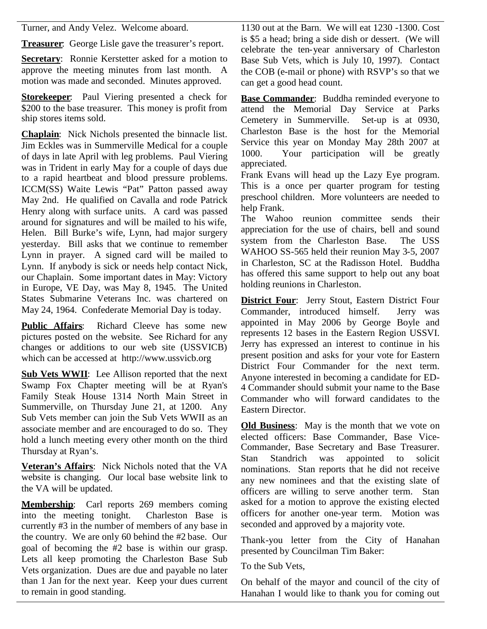Turner, and Andy Velez. Welcome aboard.

**Treasurer**: George Lisle gave the treasurer's report.

**Secretary**: Ronnie Kerstetter asked for a motion to approve the meeting minutes from last month. A motion was made and seconded. Minutes approved.

**Storekeeper:** Paul Viering presented a check for \$200 to the base treasurer. This money is profit from ship stores items sold.

**Chaplain**: Nick Nichols presented the binnacle list. Jim Eckles was in Summerville Medical for a couple of days in late April with leg problems. Paul Viering was in Trident in early May for a couple of days due to a rapid heartbeat and blood pressure problems. ICCM(SS) Waite Lewis "Pat" Patton passed away May 2nd. He qualified on Cavalla and rode Patrick Henry along with surface units. A card was passed around for signatures and will be mailed to his wife, Helen. Bill Burke's wife, Lynn, had major surgery yesterday. Bill asks that we continue to remember Lynn in prayer. A signed card will be mailed to Lynn. If anybody is sick or needs help contact Nick, our Chaplain. Some important dates in May: Victory in Europe, VE Day, was May 8, 1945. The United States Submarine Veterans Inc. was chartered on May 24, 1964. Confederate Memorial Day is today.

**Public Affairs**: Richard Cleeve has some new pictures posted on the website. See Richard for any changes or additions to our web site (USSVICB) which can be accessed at http://www.ussvicb.org

**Sub Vets WWII**: Lee Allison reported that the next Swamp Fox Chapter meeting will be at Ryan's Family Steak House 1314 North Main Street in Summerville, on Thursday June 21, at 1200. Any Sub Vets member can join the Sub Vets WWII as an associate member and are encouraged to do so. They hold a lunch meeting every other month on the third Thursday at Ryan's.

**Veteran's Affairs**: Nick Nichols noted that the VA website is changing. Our local base website link to the VA will be updated.

**Membership**: Carl reports 269 members coming into the meeting tonight. Charleston Base is currently #3 in the number of members of any base in the country. We are only 60 behind the #2 base. Our goal of becoming the #2 base is within our grasp. Lets all keep promoting the Charleston Base Sub Vets organization. Dues are due and payable no later than 1 Jan for the next year. Keep your dues current to remain in good standing.

1130 out at the Barn. We will eat 1230 -1300. Cost is \$5 a head; bring a side dish or dessert. (We will celebrate the ten-year anniversary of Charleston Base Sub Vets, which is July 10, 1997). Contact the COB (e-mail or phone) with RSVP's so that we can get a good head count.

**Base Commander**: Buddha reminded everyone to attend the Memorial Day Service at Parks Cemetery in Summerville. Set-up is at 0930, Charleston Base is the host for the Memorial Service this year on Monday May 28th 2007 at 1000. Your participation will be greatly appreciated.

Frank Evans will head up the Lazy Eye program. This is a once per quarter program for testing preschool children. More volunteers are needed to help Frank.

The Wahoo reunion committee sends their appreciation for the use of chairs, bell and sound system from the Charleston Base. The USS WAHOO SS-565 held their reunion May 3-5, 2007 in Charleston, SC at the Radisson Hotel. Buddha has offered this same support to help out any boat holding reunions in Charleston.

**District Four**: Jerry Stout, Eastern District Four Commander, introduced himself. Jerry was appointed in May 2006 by George Boyle and represents 12 bases in the Eastern Region USSVI. Jerry has expressed an interest to continue in his present position and asks for your vote for Eastern District Four Commander for the next term. Anyone interested in becoming a candidate for ED-4 Commander should submit your name to the Base Commander who will forward candidates to the Eastern Director.

**Old Business**: May is the month that we vote on elected officers: Base Commander, Base Vice-Commander, Base Secretary and Base Treasurer. Stan Standrich was appointed to solicit nominations. Stan reports that he did not receive any new nominees and that the existing slate of officers are willing to serve another term. Stan asked for a motion to approve the existing elected officers for another one-year term. Motion was seconded and approved by a majority vote.

Thank-you letter from the City of Hanahan presented by Councilman Tim Baker:

To the Sub Vets,

On behalf of the mayor and council of the city of Hanahan I would like to thank you for coming out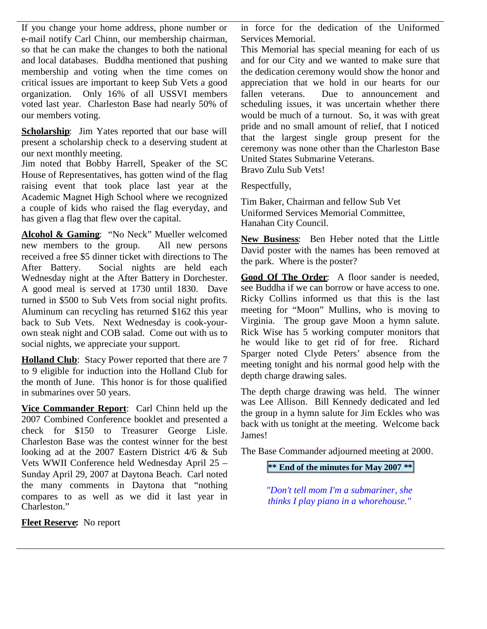If you change your home address, phone number or e-mail notify Carl Chinn, our membership chairman, so that he can make the changes to both the national and local databases. Buddha mentioned that pushing membership and voting when the time comes on critical issues are important to keep Sub Vets a good organization. Only 16% of all USSVI members voted last year. Charleston Base had nearly 50% of our members voting.

**Scholarship**: Jim Yates reported that our base will present a scholarship check to a deserving student at our next monthly meeting.

Jim noted that Bobby Harrell, Speaker of the SC House of Representatives, has gotten wind of the flag raising event that took place last year at the Academic Magnet High School where we recognized a couple of kids who raised the flag everyday, and has given a flag that flew over the capital.

**Alcohol & Gaming**: "No Neck" Mueller welcomed new members to the group. All new persons received a free \$5 dinner ticket with directions to The After Battery. Social nights are held each Wednesday night at the After Battery in Dorchester. A good meal is served at 1730 until 1830. Dave turned in \$500 to Sub Vets from social night profits. Aluminum can recycling has returned \$162 this year back to Sub Vets. Next Wednesday is cook-yourown steak night and COB salad. Come out with us to social nights, we appreciate your support.

**Holland Club**: Stacy Power reported that there are 7 to 9 eligible for induction into the Holland Club for the month of June. This honor is for those qualified in submarines over 50 years.

**Vice Commander Report**: Carl Chinn held up the 2007 Combined Conference booklet and presented a check for \$150 to Treasurer George Lisle. Charleston Base was the contest winner for the best looking ad at the 2007 Eastern District 4/6 & Sub Vets WWII Conference held Wednesday April 25 – Sunday April 29, 2007 at Daytona Beach. Carl noted the many comments in Daytona that "nothing compares to as well as we did it last year in Charleston."

**Fleet Reserve:** No report

in force for the dedication of the Uniformed Services Memorial.

This Memorial has special meaning for each of us and for our City and we wanted to make sure that the dedication ceremony would show the honor and appreciation that we hold in our hearts for our fallen veterans. Due to announcement and scheduling issues, it was uncertain whether there would be much of a turnout. So, it was with great pride and no small amount of relief, that I noticed that the largest single group present for the ceremony was none other than the Charleston Base United States Submarine Veterans. Bravo Zulu Sub Vets!

Respectfully,

Tim Baker, Chairman and fellow Sub Vet

Uniformed Services Memorial Committee, Hanahan City Council.

**New Business**: Ben Heber noted that the Little David poster with the names has been removed at the park. Where is the poster?

**Good Of The Order**: A floor sander is needed, see Buddha if we can borrow or have access to one. Ricky Collins informed us that this is the last meeting for "Moon" Mullins, who is moving to Virginia. The group gave Moon a hymn salute. Rick Wise has 5 working computer monitors that he would like to get rid of for free. Richard Sparger noted Clyde Peters' absence from the meeting tonight and his normal good help with the depth charge drawing sales.

The depth charge drawing was held. The winner was Lee Allison. Bill Kennedy dedicated and led the group in a hymn salute for Jim Eckles who was back with us tonight at the meeting. Welcome back James!

The Base Commander adjourned meeting at 2000.

**\*\* End of the minutes for May 2007 \*\***

*"Don't tell mom I'm a submariner, she thinks I play piano in a whorehouse."*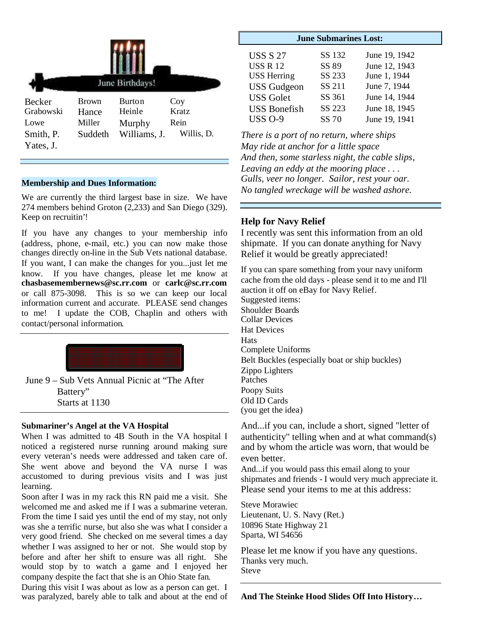| June Birthdays!        |              |               |            |  |  |  |
|------------------------|--------------|---------------|------------|--|--|--|
| Becker                 | <b>Brown</b> | <b>Burton</b> | Coy        |  |  |  |
| Grabowski              | Hance        | Heinle        | Kratz      |  |  |  |
| Lowe                   | Miller       | Murphy        | Rein       |  |  |  |
| Smith, P.<br>Yates, J. | Suddeth      | Williams, J.  | Willis, D. |  |  |  |

#### **Membership and Dues Information:**

We are currently the third largest base in size. We have 274 members behind Groton (2,233) and San Diego (329). Keep on recruitin'!

If you have any changes to your membership info (address, phone, e-mail, etc.) you can now make those changes directly on-line in the Sub Vets national database. If you want, I can make the changes for you...just let me know. If you have changes, please let me know at **chasbasemembernews@sc.rr.com** or **carlc@sc.rr.com** or call 875-3098. This is so we can keep our local information current and accurate. PLEASE send changes to me! I update the COB, Chaplin and others with contact/personal information.



June 9 – Sub Vets Annual Picnic at "The After Battery" Starts at 1130

#### **Submariner's Angel at the VA Hospital**

When I was admitted to 4B South in the VA hospital I noticed a registered nurse running around making sure every veteran's needs were addressed and taken care of. She went above and beyond the VA nurse I was accustomed to during previous visits and I was just learning.

Soon after I was in my rack this RN paid me a visit. She welcomed me and asked me if I was a submarine veteran. From the time I said yes until the end of my stay, not only was she a terrific nurse, but also she was what I consider a very good friend. She checked on me several times a day whether I was assigned to her or not. She would stop by before and after her shift to ensure was all right. She would stop by to watch a game and I enjoyed her company despite the fact that she is an Ohio State fan.

During this visit I was about as low as a person can get. I was paralyzed, barely able to talk and about at the end of

| <b>June Submarines Lost:</b> |               |  |  |  |  |
|------------------------------|---------------|--|--|--|--|
| SS 132                       | June 19, 1942 |  |  |  |  |
| SS 89                        | June 12, 1943 |  |  |  |  |
| SS 233                       | June 1, 1944  |  |  |  |  |
| SS 211                       | June 7, 1944  |  |  |  |  |
| SS 361                       | June 14, 1944 |  |  |  |  |
| SS 223                       | June 18, 1945 |  |  |  |  |
| SS 70                        | June 19, 1941 |  |  |  |  |
|                              |               |  |  |  |  |

*There is a port of no return, where ships May ride at anchor for a little space And then, some starless night, the cable slips, Leaving an eddy at the mooring place . . . Gulls, veer no longer. Sailor, rest your oar. No tangled wreckage will be washed ashore.*

### **Help for Navy Relief**

I recently was sent this information from an old shipmate. If you can donate anything for Navy Relief it would be greatly appreciated!

If you can spare something from your navy uniform cache from the old days - please send it to me and I'll auction it off on eBay for Navy Relief. Suggested items: Shoulder Boards Collar Devices Hat Devices **Hats** Complete Uniforms Belt Buckles (especially boat or ship buckles) Zippo Lighters Patches Poopy Suits Old ID Cards (you get the idea)

And...if you can, include a short, signed "letter of authenticity" telling when and at what command $(s)$ and by whom the article was worn, that would be even better.

And...if you would pass this email along to your shipmates and friends - I would very much appreciate it. Please send your items to me at this address:

Steve Morawiec Lieutenant, U. S. Navy (Ret.) 10896 State Highway 21 Sparta, WI 54656

Please let me know if you have any questions. Thanks very much. Steve

**And The Steinke Hood Slides Off Into History…**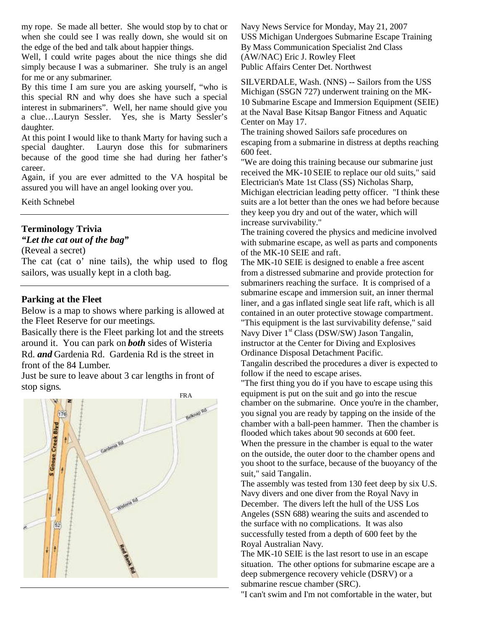my rope. Se made all better. She would stop by to chat or when she could see I was really down, she would sit on the edge of the bed and talk about happier things.

Well, I could write pages about the nice things she did simply because I was a submariner. She truly is an angel for me or any submariner.

By this time I am sure you are asking yourself, "who is this special RN and why does she have such a special interest in submariners". Well, her name should give you a clue…Lauryn Sessler. Yes, she is Marty Sessler's daughter.

At this point I would like to thank Marty for having such a special daughter. Lauryn dose this for submariners because of the good time she had during her father's career.

Again, if you are ever admitted to the VA hospital be assured you will have an angel looking over you.

Keith Schnebel

### **Terminology Trivia**

### *"Let the cat out of the bag"*

(Reveal a secret)

The cat (cat o' nine tails), the whip used to flog sailors, was usually kept in a cloth bag.

### **Parking at the Fleet**

Below is a map to shows where parking is allowed at the Fleet Reserve for our meetings.

Basically there is the Fleet parking lot and the streets around it. You can park on *both* sides of Wisteria Rd. *and* Gardenia Rd. Gardenia Rd is the street in front of the 84 Lumber.

Just be sure to leave about 3 car lengths in front of stop signs.



Navy News Service for Monday, May 21, 2007 USS Michigan Undergoes Submarine Escape Training By Mass Communication Specialist 2nd Class (AW/NAC) Eric J. Rowley Fleet Public Affairs Center Det. Northwest

SILVERDALE, Wash. (NNS) -- Sailors from the USS Michigan (SSGN 727) underwent training on the MK-10 Submarine Escape and Immersion Equipment (SEIE) at the Naval Base Kitsap Bangor Fitness and Aquatic Center on May 17.

The training showed Sailors safe procedures on escaping from a submarine in distress at depths reaching 600 feet.

"We are doing this training because our submarine just received the MK-10 SEIE to replace our old suits," said Electrician's Mate 1st Class (SS) Nicholas Sharp, Michigan electrician leading petty officer. "I think these suits are a lot better than the ones we had before because they keep you dry and out of the water, which will increase survivability."

The training covered the physics and medicine involved with submarine escape, as well as parts and components of the MK-10 SEIE and raft.

The MK-10 SEIE is designed to enable a free ascent from a distressed submarine and provide protection for submariners reaching the surface. It is comprised of a submarine escape and immersion suit, an inner thermal liner, and a gas inflated single seat life raft, which is all contained in an outer protective stowage compartment. "This equipment is the last survivability defense," said Navy Diver 1<sup>st</sup> Class (DSW/SW) Jason Tangalin,

instructor at the Center for Diving and Explosives Ordinance Disposal Detachment Pacific.

Tangalin described the procedures a diver is expected to follow if the need to escape arises.

"The first thing you do if you have to escape using this equipment is put on the suit and go into the rescue chamber on the submarine. Once you're in the chamber, you signal you are ready by tapping on the inside of the chamber with a ball-peen hammer. Then the chamber is flooded which takes about 90 seconds at 600 feet. When the pressure in the chamber is equal to the water on the outside, the outer door to the chamber opens and you shoot to the surface, because of the buoyancy of the suit," said Tangalin.

The assembly was tested from 130 feet deep by six U.S. Navy divers and one diver from the Royal Navy in December. The divers left the hull of the USS Los Angeles (SSN 688) wearing the suits and ascended to the surface with no complications. It was also successfully tested from a depth of 600 feet by the Royal Australian Navy.

The MK-10 SEIE is the last resort to use in an escape situation. The other options for submarine escape are a deep submergence recovery vehicle (DSRV) or a submarine rescue chamber (SRC).

"I can't swim and I'm not comfortable in the water, but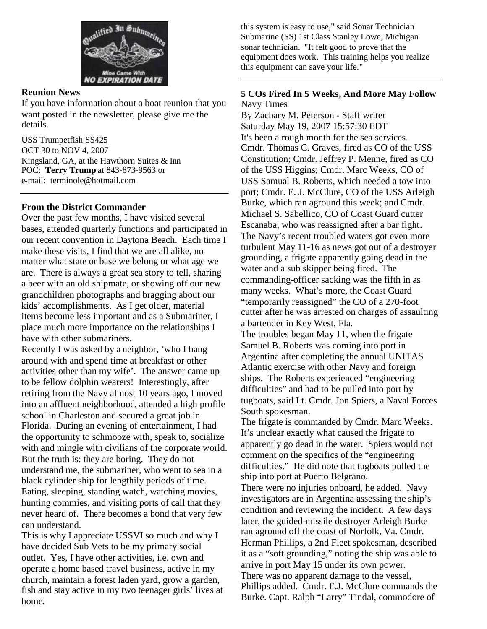

### **Reunion News**

If you have information about a boat reunion that you want posted in the newsletter, please give me the details.

USS Trumpetfish SS425 OCT 30 to NOV 4, 2007 Kingsland, GA, at the Hawthorn Suites & Inn POC: **Terry Trump** at 843-873-9563 or e-mail: terminole@hotmail.com

### **From the District Commander**

Over the past few months, I have visited several bases, attended quarterly functions and participated in our recent convention in Daytona Beach. Each time I make these visits, I find that we are all alike, no matter what state or base we belong or what age we are. There is always a great sea story to tell, sharing a beer with an old shipmate, or showing off our new grandchildren photographs and bragging about our kids' accomplishments. As I get older, material items become less important and as a Submariner, I place much more importance on the relationships I have with other submariners.

Recently I was asked by a neighbor, 'who I hang around with and spend time at breakfast or other activities other than my wife'. The answer came up to be fellow dolphin wearers! Interestingly, after retiring from the Navy almost 10 years ago, I moved into an affluent neighborhood, attended a high profile school in Charleston and secured a great job in Florida. During an evening of entertainment, I had the opportunity to schmooze with, speak to, socialize with and mingle with civilians of the corporate world. But the truth is: they are boring. They do not understand me, the submariner, who went to sea in a black cylinder ship for lengthily periods of time. Eating, sleeping, standing watch, watching movies, hunting commies, and visiting ports of call that they never heard of. There becomes a bond that very few can understand.

This is why I appreciate USSVI so much and why I have decided Sub Vets to be my primary social outlet. Yes, I have other activities, i.e. own and operate a home based travel business, active in my church, maintain a forest laden yard, grow a garden, fish and stay active in my two teenager girls' lives at home.

this system is easy to use," said Sonar Technician Submarine (SS) 1st Class Stanley Lowe, Michigan sonar technician. "It felt good to prove that the equipment does work. This training helps you realize this equipment can save your life."

### **5 COs Fired In 5 Weeks, And More May Follow** Navy Times

By Zachary M. Peterson - Staff writer Saturday May 19, 2007 15:57:30 EDT It's been a rough month for the sea services. Cmdr. Thomas C. Graves, fired as CO of the USS Constitution; Cmdr. Jeffrey P. Menne, fired as CO of the USS Higgins; Cmdr. Marc Weeks, CO of USS Samual B. Roberts, which needed a tow into port; Cmdr. E. J. McClure, CO of the USS Arleigh Burke, which ran aground this week; and Cmdr. Michael S. Sabellico, CO of Coast Guard cutter Escanaba, who was reassigned after a bar fight. The Navy's recent troubled waters got even more turbulent May 11-16 as news got out of a destroyer grounding, a frigate apparently going dead in the water and a sub skipper being fired. The commanding-officer sacking was the fifth in as many weeks. What's more, the Coast Guard "temporarily reassigned" the CO of a 270-foot cutter after he was arrested on charges of assaulting a bartender in Key West, Fla. The troubles began May 11, when the frigate Samuel B. Roberts was coming into port in

Argentina after completing the annual UNITAS Atlantic exercise with other Navy and foreign ships. The Roberts experienced "engineering difficulties" and had to be pulled into port by tugboats, said Lt. Cmdr. Jon Spiers, a Naval Forces South spokesman.

The frigate is commanded by Cmdr. Marc Weeks. It's unclear exactly what caused the frigate to apparently go dead in the water. Spiers would not comment on the specifics of the "engineering difficulties." He did note that tugboats pulled the ship into port at Puerto Belgrano.

There were no injuries onboard, he added. Navy investigators are in Argentina assessing the ship's condition and reviewing the incident. A few days later, the guided-missile destroyer Arleigh Burke ran aground off the coast of Norfolk, Va. Cmdr. Herman Phillips, a 2nd Fleet spokesman, described it as a "soft grounding," noting the ship was able to arrive in port May 15 under its own power. There was no apparent damage to the vessel, Phillips added. Cmdr. E.J. McClure commands the Burke. Capt. Ralph "Larry" Tindal, commodore of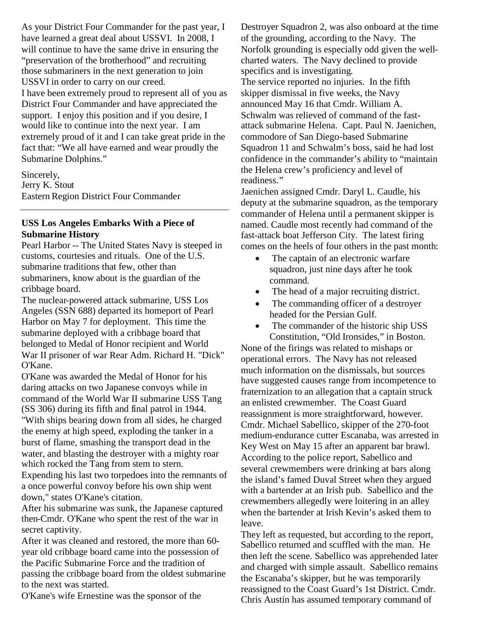As your District Four Commander for the past year, I have learned a great deal about USSVI. In 2008, I will continue to have the same drive in ensuring the "preservation of the brotherhood" and recruiting those submariners in the next generation to join USSVI in order to carry on our creed.

I have been extremely proud to represent all of you as District Four Commander and have appreciated the support. I enjoy this position and if you desire, I would like to continue into the next year. I am extremely proud of it and I can take great pride in the fact that: "We all have earned and wear proudly the Submarine Dolphins."

Sincerely, Jerry K. Stout Eastern Region District Four Commander

# **USS Los Angeles Embarks With a Piece of Submarine History**

Pearl Harbor -- The United States Navy is steeped in customs, courtesies and rituals. One of the U.S. submarine traditions that few, other than submariners, know about is the guardian of the cribbage board.

The nuclear-powered attack submarine, USS Los Angeles (SSN 688) departed its homeport of Pearl Harbor on May 7 for deployment. This time the submarine deployed with a cribbage board that belonged to Medal of Honor recipient and World War II prisoner of war Rear Adm. Richard H. "Dick" O'Kane.

O'Kane was awarded the Medal of Honor for his daring attacks on two Japanese convoys while in command of the World War II submarine USS Tang (SS 306) during its fifth and final patrol in 1944.

"With ships bearing down from all sides, he charged the enemy at high speed, exploding the tanker in a burst of flame, smashing the transport dead in the water, and blasting the destroyer with a mighty roar which rocked the Tang from stem to stern.

Expending his last two torpedoes into the remnants of a once powerful convoy before his own ship went down," states O'Kane's citation.

After his submarine was sunk, the Japanese captured then-Cmdr. O'Kane who spent the rest of the war in secret captivity.

After it was cleaned and restored, the more than 60 year old cribbage board came into the possession of the Pacific Submarine Force and the tradition of passing the cribbage board from the oldest submarine to the next was started.

O'Kane's wife Ernestine was the sponsor of the

Destroyer Squadron 2, was also onboard at the time of the grounding, according to the Navy. The Norfolk grounding is especially odd given the wellcharted waters. The Navy declined to provide specifics and is investigating. The service reported no injuries. In the fifth skipper dismissal in five weeks, the Navy announced May 16 that Cmdr. William A. Schwalm was relieved of command of the fastattack submarine Helena. Capt. Paul N. Jaenichen, commodore of San Diego-based Submarine Squadron 11 and Schwalm's boss, said he had lost confidence in the commander's ability to "maintain the Helena crew's proficiency and level of readiness."

Jaenichen assigned Cmdr. Daryl L. Caudle, his deputy at the submarine squadron, as the temporary commander of Helena until a permanent skipper is named. Caudle most recently had command of the fast-attack boat Jefferson City. The latest firing comes on the heels of four others in the past month:

- The captain of an electronic warfare squadron, just nine days after he took command.
- The head of a major recruiting district.
- The commanding officer of a destroyer headed for the Persian Gulf.
- The commander of the historic ship USS Constitution, "Old Ironsides," in Boston.

None of the firings was related to mishaps or operational errors. The Navy has not released much information on the dismissals, but sources have suggested causes range from incompetence to fraternization to an allegation that a captain struck an enlisted crewmember. The Coast Guard reassignment is more straightforward, however. Cmdr. Michael Sabellico, skipper of the 270-foot medium-endurance cutter Escanaba, was arrested in Key West on May 15 after an apparent bar brawl. According to the police report, Sabellico and several crewmembers were drinking at bars along the island's famed Duval Street when they argued with a bartender at an Irish pub. Sabellico and the crewmembers allegedly were loitering in an alley when the bartender at Irish Kevin's asked them to leave.

They left as requested, but according to the report, Sabellico returned and scuffled with the man. He then left the scene. Sabellico was apprehended later and charged with simple assault. Sabellico remains the Escanaba's skipper, but he was temporarily reassigned to the Coast Guard's 1st District. Cmdr. Chris Austin has assumed temporary command of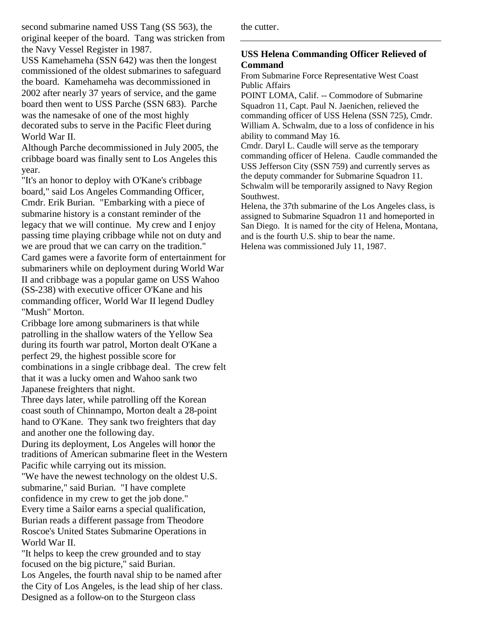second submarine named USS Tang (SS 563), the original keeper of the board. Tang was stricken from the Navy Vessel Register in 1987.

USS Kamehameha (SSN 642) was then the longest commissioned of the oldest submarines to safeguard the board. Kamehameha was decommissioned in 2002 after nearly 37 years of service, and the game board then went to USS Parche (SSN 683). Parche was the namesake of one of the most highly decorated subs to serve in the Pacific Fleet during World War II.

Although Parche decommissioned in July 2005, the cribbage board was finally sent to Los Angeles this year.

"It's an honor to deploy with O'Kane's cribbage board," said Los Angeles Commanding Officer, Cmdr. Erik Burian. "Embarking with a piece of submarine history is a constant reminder of the legacy that we will continue. My crew and I enjoy passing time playing cribbage while not on duty and we are proud that we can carry on the tradition." Card games were a favorite form of entertainment for submariners while on deployment during World War II and cribbage was a popular game on USS Wahoo (SS-238) with executive officer O'Kane and his commanding officer, World War II legend Dudley "Mush" Morton.

Cribbage lore among submariners is that while patrolling in the shallow waters of the Yellow Sea during its fourth war patrol, Morton dealt O'Kane a perfect 29, the highest possible score for combinations in a single cribbage deal. The crew felt that it was a lucky omen and Wahoo sank two Japanese freighters that night.

Three days later, while patrolling off the Korean coast south of Chinnampo, Morton dealt a 28-point hand to O'Kane. They sank two freighters that day and another one the following day.

During its deployment, Los Angeles will honor the traditions of American submarine fleet in the Western Pacific while carrying out its mission.

"We have the newest technology on the oldest U.S. submarine," said Burian. "I have complete confidence in my crew to get the job done." Every time a Sailor earns a special qualification, Burian reads a different passage from Theodore Roscoe's United States Submarine Operations in World War II.

"It helps to keep the crew grounded and to stay focused on the big picture," said Burian. Los Angeles, the fourth naval ship to be named after the City of Los Angeles, is the lead ship of her class. Designed as a follow-on to the Sturgeon class

the cutter.

# **USS Helena Commanding Officer Relieved of Command**

From Submarine Force Representative West Coast Public Affairs

POINT LOMA, Calif. -- Commodore of Submarine Squadron 11, Capt. Paul N. Jaenichen, relieved the commanding officer of USS Helena (SSN 725), Cmdr. William A. Schwalm, due to a loss of confidence in his ability to command May 16.

Cmdr. Daryl L. Caudle will serve as the temporary commanding officer of Helena. Caudle commanded the USS Jefferson City (SSN 759) and currently serves as the deputy commander for Submarine Squadron 11. Schwalm will be temporarily assigned to Navy Region Southwest.

Helena, the 37th submarine of the Los Angeles class, is assigned to Submarine Squadron 11 and homeported in San Diego. It is named for the city of Helena, Montana, and is the fourth U.S. ship to bear the name. Helena was commissioned July 11, 1987.